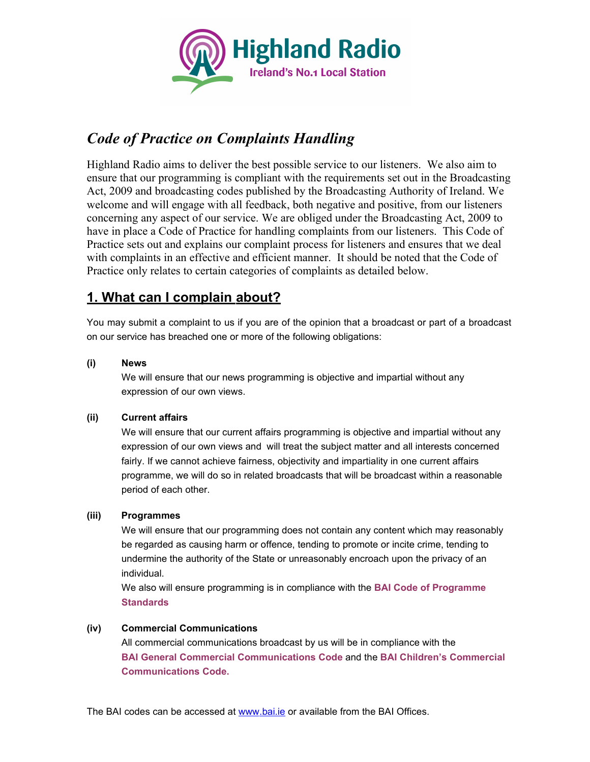

# *Code of Practice on Complaints Handling*

Highland Radio aims to deliver the best possible service to our listeners. We also aim to ensure that our programming is compliant with the requirements set out in the Broadcasting Act, 2009 and broadcasting codes published by the Broadcasting Authority of Ireland. We welcome and will engage with all feedback, both negative and positive, from our listeners concerning any aspect of our service. We are obliged under the Broadcasting Act, 2009 to have in place a Code of Practice for handling complaints from our listeners. This Code of Practice sets out and explains our complaint process for listeners and ensures that we deal with complaints in an effective and efficient manner. It should be noted that the Code of Practice only relates to certain categories of complaints as detailed below.

# **1. What can I complain about?**

You may submit a complaint to us if you are of the opinion that a broadcast or part of a broadcast on our service has breached one or more of the following obligations:

#### **(i) News**

We will ensure that our news programming is objective and impartial without any expression of our own views.

#### **(ii) Current affairs**

We will ensure that our current affairs programming is objective and impartial without any expression of our own views and will treat the subject matter and all interests concerned fairly. If we cannot achieve fairness, objectivity and impartiality in one current affairs programme, we will do so in related broadcasts that will be broadcast within a reasonable period of each other.

#### **(iii) Programmes**

We will ensure that our programming does not contain any content which may reasonably be regarded as causing harm or offence, tending to promote or incite crime, tending to undermine the authority of the State or unreasonably encroach upon the privacy of an individual.

We also will ensure programming is in compliance with the **BAI Code of Programme Standards**

#### **(iv) Commercial Communications**

All commercial communications broadcast by us will be in compliance with the **BAI General Commercial Communications Code** and the **BAI Children's Commercial Communications Code.**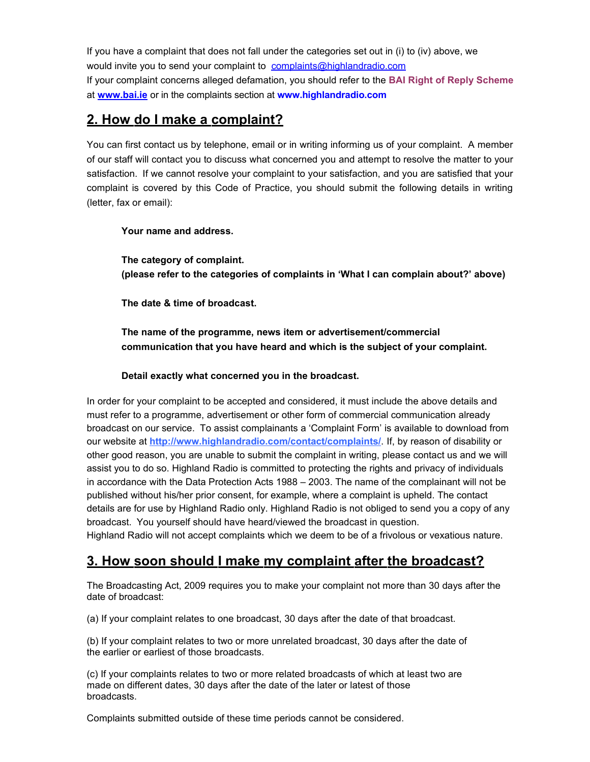If you have a complaint that does not fall under the categories set out in (i) to (iv) above, we would invite you to send your complaint to complaints @ highlandradio.com If your complaint concerns alleged defamation, you should refer to the **BAI Right of Reply Scheme** at **[www . b ai.ie](http://www.bai.ie/)** or in the complaints section at **www.highlandradio.com**

### **2. How do I make a complaint?**

You can first contact us by telephone, email or in writing informing us of your complaint. A member of our staff will contact you to discuss what concerned you and attempt to resolve the matter to your satisfaction. If we cannot resolve your complaint to your satisfaction, and you are satisfied that your complaint is covered by this Code of Practice, you should submit the following details in writing (letter, fax or email):

#### **Your name and address.**

**The category of complaint. (please refer to the categories of complaints in 'What I can complain about?' above)**

**The date & time of broadcast.**

**The name of the programme, news item or advertisement/commercial communication that you have heard and which is the subject of your complaint.**

**Detail exactly what concerned you in the broadcast.**

In order for your complaint to be accepted and considered, it must include the above details and must refer to a programme, advertisement or other form of commercial communication already broadcast on our service. To assist complainants a 'Complaint Form' is available to download from our website at **http://www.highlandradio.com/contact/complaints/**. If, by reason of disability or other good reason, you are unable to submit the complaint in writing, please contact us and we will assist you to do so. Highland Radio is committed to protecting the rights and privacy of individuals in accordance with the Data Protection Acts 1988 – 2003. The name of the complainant will not be published without his/her prior consent, for example, where a complaint is upheld. The contact details are for use by Highland Radio only. Highland Radio is not obliged to send you a copy of any broadcast. You yourself should have heard/viewed the broadcast in question.

Highland Radio will not accept complaints which we deem to be of a frivolous or vexatious nature.

### **3. How soon should I make my complaint after the broadcast?**

The Broadcasting Act, 2009 requires you to make your complaint not more than 30 days after the date of broadcast:

(a) If your complaint relates to one broadcast, 30 days after the date of that broadcast.

(b) If your complaint relates to two or more unrelated broadcast, 30 days after the date of the earlier or earliest of those broadcasts.

(c) If your complaints relates to two or more related broadcasts of which at least two are made on different dates, 30 days after the date of the later or latest of those broadcasts.

Complaints submitted outside of these time periods cannot be considered.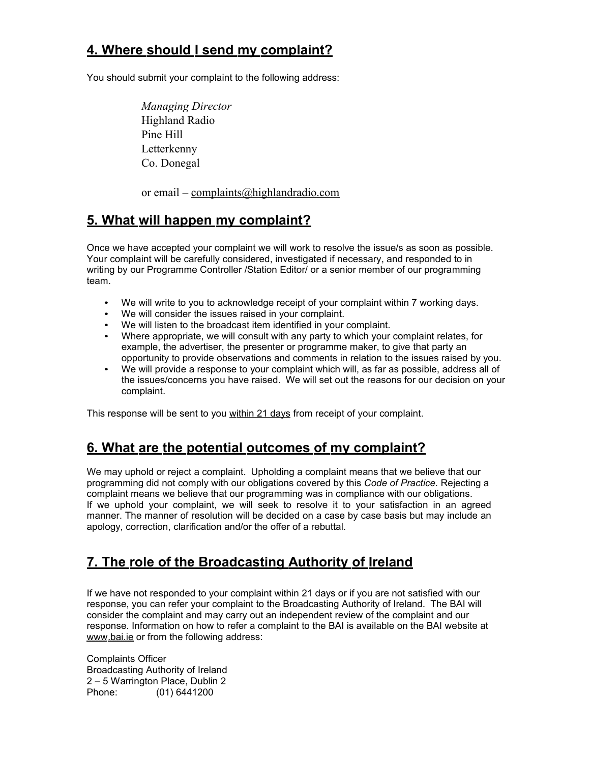### **4. W here should I send my complaint?**

You should submit your complaint to the following address:

*Managing Director* Highland Radio Pine Hill Letterkenny Co. Donegal

or email – [complaints@highlandradio.com](mailto:complaints@highlandradio.com)

### **5. W hat w ill happen my complaint?**

Once we have accepted your complaint we will work to resolve the issue/s as soon as possible. Your complaint will be carefully considered, investigated if necessary, and responded to in writing by our Programme Controller /Station Editor/ or a senior member of our programming team.

- We will write to you to acknowledge receipt of your complaint within 7 working days.
- We will consider the issues raised in your complaint.
- We will listen to the broadcast item identified in your complaint.
- Where appropriate, we will consult with any party to which your complaint relates, for example, the advertiser, the presenter or programme maker, to give that party an opportunity to provide observations and comments in relation to the issues raised by you.
- We will provide a response to your complaint which will, as far as possible, address all of the issues/concerns you have raised. We will set out the reasons for our decision on your complaint.

This response will be sent to you within 21 days from receipt of your complaint.

### **6. W hat are the potential outcom es of my complaint?**

We may uphold or reject a complaint. Upholding a complaint means that we believe that our programming did not comply with our obligations covered by this *Code of Practice.* Rejecting a complaint means we believe that our programming was in compliance with our obligations. If we uphold your complaint, we will seek to resolve it to your satisfaction in an agreed manner. The manner of resolution will be decided on a case by case basis but may include an apology, correction, clarification and/or the offer of a rebuttal.

# **7. The role of the Broadcasting Authority of Ireland**

If we have not responded to your complaint within 21 days or if you are not satisfied with our response, you can refer your complaint to the Broadcasting Authority of Ireland. The BAI will consider the complaint and may carry out an independent review of the complaint and our response. Information on how to refer a complaint to the BAI is available on the BAI website at  [www .bai.ie](http://www.bai.ie/) or from the following address:

Complaints Officer Broadcasting Authority of Ireland 2 – 5 Warrington Place, Dublin 2 Phone: (01) 6441200